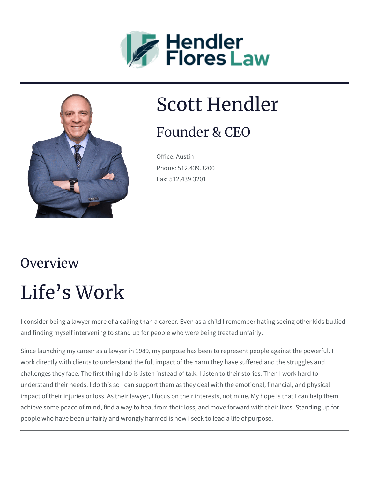



### Scott Hendler

#### Founder & CEO

Office: Austin Phone: 512.439.3200 Fax: 512.439.3201

# **Overview** Life's Work

I consider being a lawyer more of a calling than a career. Even as a child I remember hating seeing other kids bullied and finding myself intervening to stand up for people who were being treated unfairly.

Since launching my career as a lawyer in 1989, my purpose has been to represent people against the powerful. I work directly with clients to understand the full impact of the harm they have suffered and the struggles and challenges they face. The first thing I do is listen instead of talk. I listen to their stories. Then I work hard to understand their needs. I do this so I can support them as they deal with the emotional, financial, and physical impact of their injuries or loss. As their lawyer, I focus on their interests, not mine. My hope is that I can help them achieve some peace of mind, find a way to heal from their loss, and move forward with their lives. Standing up for people who have been unfairly and wrongly harmed is how I seek to lead a life of purpose.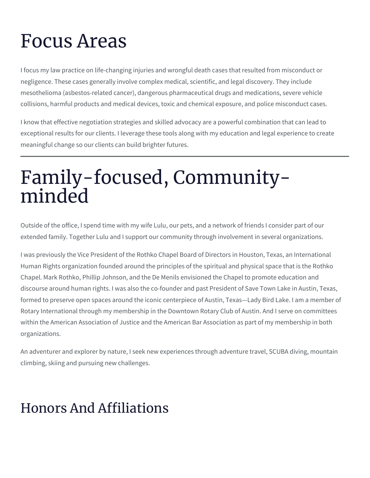## Focus Areas

I focus my law practice on life-changing injuries and wrongful death cases that resulted from misconduct or negligence. These cases generally involve complex medical, scientific, and legal discovery. They include mesothelioma (asbestos-related cancer), dangerous pharmaceutical drugs and medications, severe vehicle collisions, harmful products and medical devices, toxic and chemical exposure, and police misconduct cases.

I know that effective negotiation strategies and skilled advocacy are a powerful combination that can lead to exceptional results for our clients. I leverage these tools along with my education and legal experience to create meaningful change so our clients can build brighter futures.

### Family-focused, Communityminded

Outside of the office, I spend time with my wife Lulu, our pets, and a network of friends I consider part of our extended family. Together Lulu and I support our community through involvement in several organizations.

I was previously the Vice President of the Rothko Chapel Board of Directors in Houston, Texas, an International Human Rights organization founded around the principles of the spiritual and physical space that is the Rothko Chapel. Mark Rothko, Phillip Johnson, and the De Menils envisioned the Chapel to promote education and discourse around human rights. I was also the co-founder and past President of Save Town Lake in Austin, Texas, formed to preserve open spaces around the iconic centerpiece of Austin, Texas—Lady Bird Lake. I am a member of Rotary International through my membership in the Downtown Rotary Club of Austin. And I serve on committees within the American Association of Justice and the American Bar Association as part of my membership in both organizations.

An adventurer and explorer by nature, I seek new experiences through adventure travel, SCUBA diving, mountain climbing, skiing and pursuing new challenges.

#### Honors And Affiliations